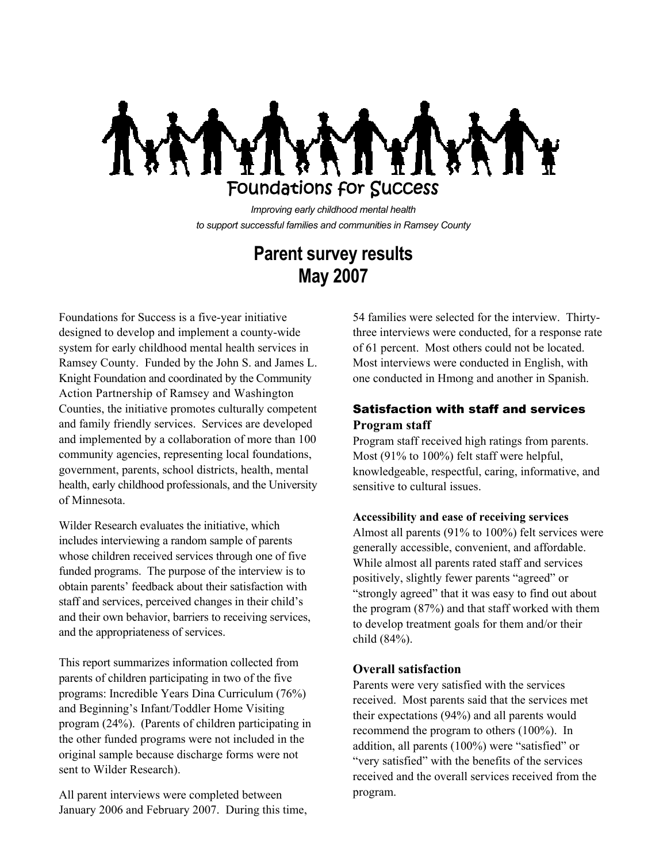

*Improving early childhood mental health to support successful families and communities in Ramsey County*

# **Parent survey results May 2007**

Foundations for Success is a five-year initiative designed to develop and implement a county-wide system for early childhood mental health services in Ramsey County. Funded by the John S. and James L. Knight Foundation and coordinated by the Community Action Partnership of Ramsey and Washington Counties, the initiative promotes culturally competent and family friendly services. Services are developed and implemented by a collaboration of more than 100 community agencies, representing local foundations, government, parents, school districts, health, mental health, early childhood professionals, and the University of Minnesota.

Wilder Research evaluates the initiative, which includes interviewing a random sample of parents whose children received services through one of five funded programs. The purpose of the interview is to obtain parents' feedback about their satisfaction with staff and services, perceived changes in their child's and their own behavior, barriers to receiving services, and the appropriateness of services.

This report summarizes information collected from parents of children participating in two of the five programs: Incredible Years Dina Curriculum (76%) and Beginning's Infant/Toddler Home Visiting program (24%). (Parents of children participating in the other funded programs were not included in the original sample because discharge forms were not sent to Wilder Research).

All parent interviews were completed between January 2006 and February 2007. During this time,

54 families were selected for the interview. Thirtythree interviews were conducted, for a response rate of 61 percent. Most others could not be located. Most interviews were conducted in English, with one conducted in Hmong and another in Spanish.

## Satisfaction with staff and services **Program staff**

Program staff received high ratings from parents. Most (91% to 100%) felt staff were helpful, knowledgeable, respectful, caring, informative, and sensitive to cultural issues.

#### **Accessibility and ease of receiving services**

Almost all parents (91% to 100%) felt services were generally accessible, convenient, and affordable. While almost all parents rated staff and services positively, slightly fewer parents "agreed" or "strongly agreed" that it was easy to find out about the program (87%) and that staff worked with them to develop treatment goals for them and/or their child (84%).

#### **Overall satisfaction**

Parents were very satisfied with the services received. Most parents said that the services met their expectations (94%) and all parents would recommend the program to others (100%). In addition, all parents (100%) were "satisfied" or "very satisfied" with the benefits of the services received and the overall services received from the program.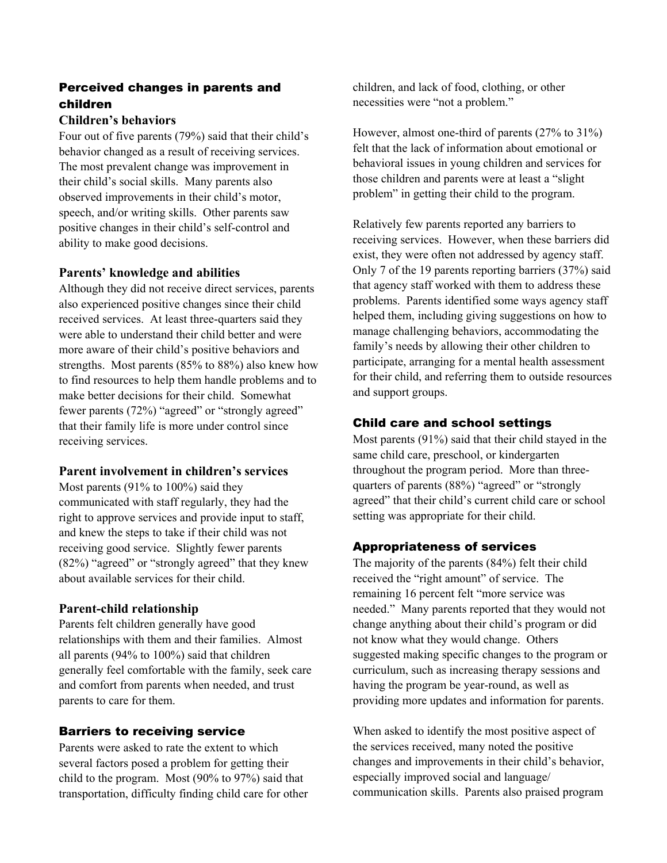# Perceived changes in parents and children

### **Children's behaviors**

Four out of five parents (79%) said that their child's behavior changed as a result of receiving services. The most prevalent change was improvement in their child's social skills. Many parents also observed improvements in their child's motor, speech, and/or writing skills. Other parents saw positive changes in their child's self-control and ability to make good decisions.

## **Parents' knowledge and abilities**

Although they did not receive direct services, parents also experienced positive changes since their child received services. At least three-quarters said they were able to understand their child better and were more aware of their child's positive behaviors and strengths. Most parents (85% to 88%) also knew how to find resources to help them handle problems and to make better decisions for their child. Somewhat fewer parents (72%) "agreed" or "strongly agreed" that their family life is more under control since receiving services.

### **Parent involvement in children's services**

Most parents (91% to 100%) said they communicated with staff regularly, they had the right to approve services and provide input to staff, and knew the steps to take if their child was not receiving good service. Slightly fewer parents (82%) "agreed" or "strongly agreed" that they knew about available services for their child.

## **Parent-child relationship**

Parents felt children generally have good relationships with them and their families. Almost all parents (94% to 100%) said that children generally feel comfortable with the family, seek care and comfort from parents when needed, and trust parents to care for them.

## Barriers to receiving service

Parents were asked to rate the extent to which several factors posed a problem for getting their child to the program. Most (90% to 97%) said that transportation, difficulty finding child care for other

children, and lack of food, clothing, or other necessities were "not a problem."

However, almost one-third of parents (27% to 31%) felt that the lack of information about emotional or behavioral issues in young children and services for those children and parents were at least a "slight problem" in getting their child to the program.

Relatively few parents reported any barriers to receiving services. However, when these barriers did exist, they were often not addressed by agency staff. Only 7 of the 19 parents reporting barriers (37%) said that agency staff worked with them to address these problems. Parents identified some ways agency staff helped them, including giving suggestions on how to manage challenging behaviors, accommodating the family's needs by allowing their other children to participate, arranging for a mental health assessment for their child, and referring them to outside resources and support groups.

## Child care and school settings

Most parents (91%) said that their child stayed in the same child care, preschool, or kindergarten throughout the program period. More than threequarters of parents (88%) "agreed" or "strongly agreed" that their child's current child care or school setting was appropriate for their child.

## Appropriateness of services

The majority of the parents (84%) felt their child received the "right amount" of service. The remaining 16 percent felt "more service was needed." Many parents reported that they would not change anything about their child's program or did not know what they would change. Others suggested making specific changes to the program or curriculum, such as increasing therapy sessions and having the program be year-round, as well as providing more updates and information for parents.

When asked to identify the most positive aspect of the services received, many noted the positive changes and improvements in their child's behavior, especially improved social and language/ communication skills. Parents also praised program